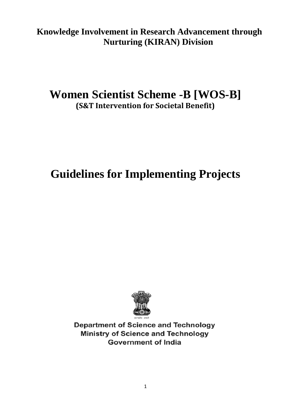**Knowledge Involvement in Research Advancement through Nurturing (KIRAN) Division**

# **Women Scientist Scheme -B [WOS-B] (S&T Intervention for Societal Benefit)**

# **Guidelines for Implementing Projects**



**Department of Science and Technology Ministry of Science and Technology Government of India**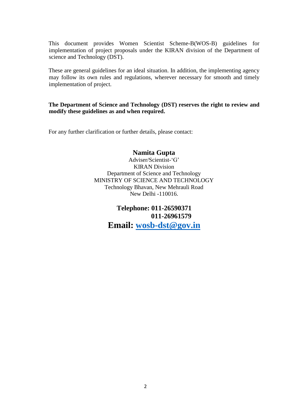This document provides Women Scientist Scheme-B(WOS-B) guidelines for implementation of project proposals under the KIRAN division of the Department of science and Technology (DST).

These are general guidelines for an ideal situation. In addition, the implementing agency may follow its own rules and regulations, wherever necessary for smooth and timely implementation of project.

#### **The Department of Science and Technology (DST) reserves the right to review and modify these guidelines as and when required.**

For any further clarification or further details, please contact:

#### **Namita Gupta**

Adviser/Scientist-'G' KIRAN Division Department of Science and Technology MINISTRY OF SCIENCE AND TECHNOLOGY Technology Bhavan, New Mehrauli Road New Delhi -110016.

> **Telephone: 011-26590371 011-26961579 Email: [wosb-dst@gov.in](mailto:wosb-dst@gov.in)**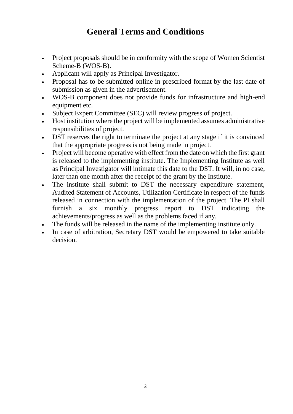# **General Terms and Conditions**

- Project proposals should be in conformity with the scope of Women Scientist Scheme-B (WOS-B).
- Applicant will apply as Principal Investigator.
- Proposal has to be submitted online in prescribed format by the last date of submission as given in the advertisement.
- WOS-B component does not provide funds for infrastructure and high-end equipment etc.
- Subject Expert Committee (SEC) will review progress of project.
- Host institution where the project will be implemented assumes administrative responsibilities of project.
- DST reserves the right to terminate the project at any stage if it is convinced that the appropriate progress is not being made in project.
- Project will become operative with effect from the date on which the first grant is released to the implementing institute. The Implementing Institute as well as Principal Investigator will intimate this date to the DST. It will, in no case, later than one month after the receipt of the grant by the Institute.
- The institute shall submit to DST the necessary expenditure statement, Audited Statement of Accounts, Utilization Certificate in respect of the funds released in connection with the implementation of the project. The PI shall furnish a six monthly progress report to DST indicating the achievements/progress as well as the problems faced if any.
- The funds will be released in the name of the implementing institute only.
- In case of arbitration, Secretary DST would be empowered to take suitable decision.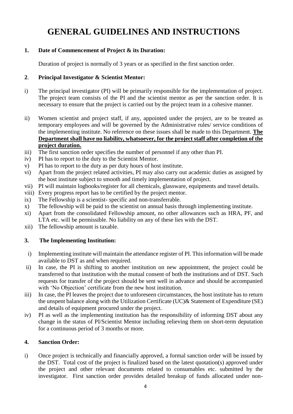# **GENERAL GUIDELINES AND INSTRUCTIONS**

### **1. Date of Commencement of Project & its Duration:**

Duration of project is normally of 3 years or as specified in the first sanction order.

### **2**. **Principal Investigator & Scientist Mentor:**

- i) The principal investigator (PI) will be primarily responsible for the implementation of project. The project team consists of the PI and the scientist mentor as per the sanction order. It is necessary to ensure that the project is carried out by the project team in a cohesive manner.
- ii) Women scientist and project staff, if any, appointed under the project, are to be treated as temporary employees and will be governed by the Administrative rules/ service conditions of the implementing institute. No reference on these issues shall be made to this Department. **The Department shall have no liability, whatsoever, for the project staff after completion of the project duration.**
- iii) The first sanction order specifies the number of personnel if any other than PI.
- iv) PI has to report to the duty to the Scientist Mentor.
- v) PI has to report to the duty as per duty hours of host institute.
- vi) Apart from the project related activities, PI may also carry out academic duties as assigned by the host institute subject to smooth and timely implementation of project.
- vii) PI will maintain logbooks/register for all chemicals, glassware, equipments and travel details.
- viii) Every progress report has to be certified by the project mentor.
- ix) The Fellowship is a scientist- specific and non-transferrable.
- x) The fellowship will be paid to the scientist on annual basis through implementing institute.
- xi) Apart from the consolidated Fellowship amount, no other allowances such as HRA, PF, and LTA etc. will be permissible. No liability on any of these lies with the DST.
- xii) The fellowship amount is taxable.

# **3. The Implementing Institution:**

- i) Implementing institute will maintain the attendance register of PI. This information will be made available to DST as and when required.
- ii) In case, the PI is shifting to another institution on new appointment, the project could be transferred to that institution with the mutual consent of both the institutions and of DST. Such requests for transfer of the project should be sent well in advance and should be accompanied with 'No Objection' certificate from the new host institution.
- iii) In case, the PI leaves the project due to unforeseen circumstances, the host institute has to return the unspent balance along with the Utilization Certificate (UC)& Statement of Expenditure (SE) and details of equipment procured under the project.
- iv) PI as well as the implementing institution has the responsibility of informing DST about any change in the status of PI/Scientist Mentor including relieving them on short-term deputation for a continuous period of 3 months or more.

# **4. Sanction Order:**

i) Once project is technically and financially approved, a formal sanction order will be issued by the DST. Total cost of the project is finalized based on the latest quotation(s) approved under the project and other relevant documents related to consumables etc. submitted by the investigator. First sanction order provides detailed breakup of funds allocated under non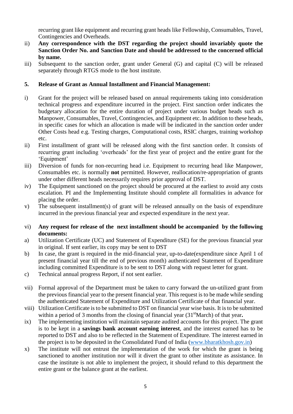recurring grant like equipment and recurring grant heads like Fellowship, Consumables, Travel, Contingencies and Overheads.

- ii) **Any correspondence with the DST regarding the project should invariably quote the Sanction Order No. and Sanction Date and should be addressed to the concerned official by name.**
- iii) Subsequent to the sanction order, grant under General (G) and capital (C) will be released separately through RTGS mode to the host institute.

#### **5. Release of Grant as Annual Installment and Financial Management:**

- i) Grant for the project will be released based on annual requirements taking into consideration technical progress and expenditure incurred in the project. First sanction order indicates the budgetary allocation for the entire duration of project under various budget heads such as Manpower, Consumables, Travel, Contingencies, and Equipment etc. In addition to these heads, in specific cases for which an allocation is made will be indicated in the sanction order under Other Costs head e.g. Testing charges, Computational costs, RSIC charges, training workshop etc.
- ii) First installment of grant will be released along with the first sanction order. It consists of recurring grant including 'overheads' for the first year of project and the entire grant for the 'Equipment'
- iii) Diversion of funds for non-recurring head i.e. Equipment to recurring head like Manpower, Consumables etc. is normally **not** permitted. However, reallocation/re-appropriation of grants under other different heads necessarily requires prior approval of DST.
- iv) The Equipment sanctioned on the project should be procured at the earliest to avoid any costs escalation. PI and the Implementing Institute should complete all formalities in advance for placing the order.
- v) The subsequent installment(s) of grant will be released annually on the basis of expenditure incurred in the previous financial year and expected expenditure in the next year.
- vi) **Any request for release of the next installment should be accompanied by the following documents:**
- a) Utilization Certificate (UC) and Statement of Expenditure (SE) for the previous financial year in original. If sent earlier, its copy may be sent to DST
- b) In case, the grant is required in the mid-financial year, up-to-date(expenditure since April 1 of present financial year till the end of previous month) authenticated Statement of Expenditure including committed Expenditure is to be sent to DST along with request letter for grant.
- c) Technical annual progress Report, if not sent earlier.
- vii) Formal approval of the Department must be taken to carry forward the un-utilized grant from the previous financial year to the present financial year. This request is to be made while sending the authenticated Statement of Expenditure and Utilization Certificate of that financial year.
- viii) Utilization Certificate is to be submitted to DST on financial year wise basis. It is to be submitted within a period of 3 months from the closing of financial year (31<sup>st</sup>March) of that year.
- ix) The implementing institution will maintain separate audited accounts for this project. The grant is to be kept in a **savings bank account earning interest**, and the interest earned has to be reported to DST and also to be reflected in the Statement of Expenditure. The interest earned in the project is to be deposited in the Consolidated Fund of India [\(www.bharatkhosh.gov.in\)](http://www.bharatkhosh.gov.in/)
- x) The institute will not entrust the implementation of the work for which the grant is being sanctioned to another institution nor will it divert the grant to other institute as assistance. In case the institute is not able to implement the project, it should refund to this department the entire grant or the balance grant at the earliest.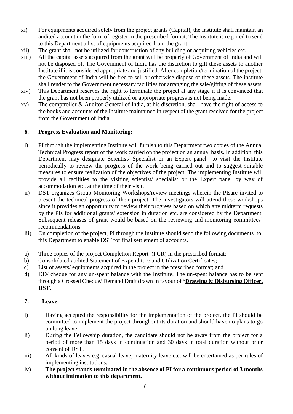- xi) For equipments acquired solely from the project grants (Capital), the Institute shall maintain an audited account in the form of register in the prescribed format. The Institute is required to send to this Department a list of equipments acquired from the grant.
- xii) The grant shall not be utilized for construction of any building or acquiring vehicles etc.
- xiii) All the capital assets acquired from the grant will be property of Government of India and will not be disposed of. The Government of India has the discretion to gift these assets to another Institute if it is considered appropriate and justified. After completion/termination of the project, the Government of India will be free to sell or otherwise dispose of these assets. The institute shall render to the Government necessary facilities for arranging the sale/gifting of these assets.
- xiv) This Department reserves the right to terminate the project at any stage if it is convinced that the grant has not been properly utilized or appropriate progress is not being made.
- xv) The comptroller & Auditor General of India, at his discretion, shall have the right of access to the books and accounts of the Institute maintained in respect of the grant received for the project from the Government of India.

### **6. Progress Evaluation and Monitoring:**

- i) PI through the implementing Institute will furnish to this Department two copies of the Annual Technical Progress report of the work carried on the project on an annual basis. In addition, this Department may designate Scientist/ Specialist or an Expert panel to visit the Institute periodically to review the progress of the work being carried out and to suggest suitable measures to ensure realization of the objectives of the project. The implementing Institute will provide all facilities to the visiting scientist/ specialist or the Expert panel by way of accommodation etc. at the time of their visit.
- ii) DST organizes Group Monitoring Workshops/review meetings wherein the PIsare invited to present the technical progress of their project. The investigators will attend these workshops since it provides an opportunity to review their progress based on which any midterm requests by the PIs for additional grants/ extension in duration etc. are considered by the Department. Subsequent releases of grant would be based on the reviewing and monitoring committees' recommendations.
- iii) On completion of the project, PI through the Institute should send the following documents to this Department to enable DST for final settlement of accounts.
- a) Three copies of the project Completion Report (PCR) in the prescribed format;
- b) Consolidated audited Statement of Expenditure and Utilization Certificates;
- c) List of assets/ equipments acquired in the project in the prescribed format; and
- d) DD/ cheque for any un-spent balance with the Institute. The un-spent balance has to be sent through a Crossed Cheque/ Demand Draft drawn in favour of **'Drawing & Disbursing Officer, DST.**

#### **7. Leave:**

- i) Having accepted the responsibility for the implementation of the project, the PI should be committed to implement the project throughout its duration and should have no plans to go on long leave.
- ii) During the Fellowship duration, the candidate should not be away from the project for a period of more than 15 days in continuation and 30 days in total duration without prior consent of DST.
- iii) All kinds of leaves e.g. casual leave, maternity leave etc. will be entertained as per rules of implementing institutions.
- iv) **The project stands terminated in the absence of PI for a continuous period of 3 months without intimation to this department.**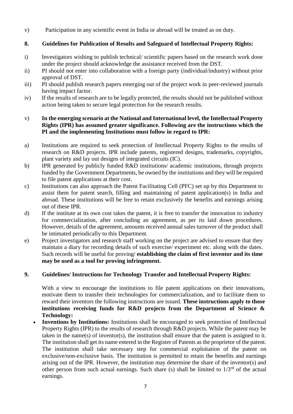v) Participation in any scientific event in India or abroad will be treated as on duty.

## **8. Guidelines for Publication of Results and Safeguard of Intellectual Property Rights:**

- i) Investigators wishing to publish technical/ scientific papers based on the research work done under the project should acknowledge the assistance received from the DST.
- ii) PI should not enter into collaboration with a foreign party (individual/industry) without prior approval of DST.
- iii) PI should publish research papers emerging out of the project work in peer-reviewed journals having impact factor.
- iv) If the results of research are to be legally protected, the results should not be published without action being taken to secure legal protection for the research results.

#### v) **In the emerging scenario at the National and International level, the Intellectual Property Rights (IPR) has assumed greater significance. Following are the instructions which the PI and the implementing Institutions must follow in regard to IPR:**

- a) Institutions are required to seek protection of Intellectual Property Rights to the results of research on R&D projects. IPR include patents, registered designs, trademarks, copyrights, plant variety and lay out designs of integrated circuits (IC).
- b) IPR generated by publicly funded R&D institutions/ academic institutions, through projects funded by the Government Departments, be owned by the institutions and they will be required to file patent applications at their cost.
- c) Institutions can also approach the Patent Facilitating Cell (PFC) set up by this Department to assist them for patent search, filling and maintaining of patent application(s) in India and abroad. These institutions will be free to retain exclusively the benefits and earnings arising out of these IPR.
- d) If the institute at its own cost takes the patent, it is free to transfer the innovation to industry for commercialization, after concluding an agreement, as per its laid down procedures. However, details of the agreement, amounts received annual sales turnover of the product shall be intimated periodically to this Department.
- e) Project investigators and research staff working on the project are advised to ensure that they maintain a diary for recording details of such exercise/ experiment etc. along with the dates. Such records will be useful for proving/ **establishing the claim of first inventor and its time may be used as a tool for proving infringement.**

# **9. Guidelines/ Instructions for Technology Transfer and Intellectual Property Rights:**

With a view to encourage the institutions to file patent applications on their innovations, motivate them to transfer their technologies for commercialization, and to facilitate them to reward their inventors the following instructions are issued. **These instructions apply to those institutions receiving funds for R&D projects from the Department of Science & Technology:**

• **Inventions by Institutions:** Institutions shall be encouraged to seek protection of Intellectual Property Rights (IPR) to the results of research through R&D projects. While the patent may be taken in the name(s) of inventor(s), the institution shall ensure that the patent is assigned to it. The institution shall get its name entered in the Register of Patents as the proprietor of the patent. The institution shall take necessary step for commercial exploitation of the patent on exclusive/non-exclusive basis. The institution is permitted to retain the benefits and earnings arising out of the IPR. However, the institution may determine the share of the inventor(s) and other person from such actual earnings. Such share (s) shall be limited to  $1/3<sup>rd</sup>$  of the actual earnings.